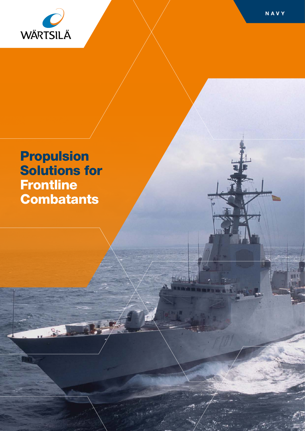

별

Propulsion Solutions for **Frontline Combatants** 

BRAIN H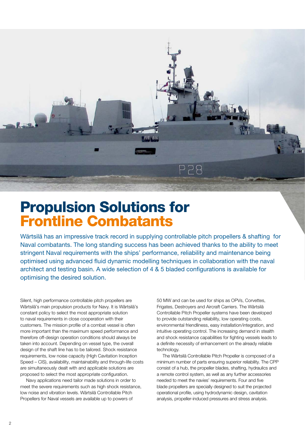

### Propulsion Solutions for Frontline Combatants

Wärtsilä has an impressive track record in supplying controllable pitch propellers & shafting for Naval combatants. The long standing success has been achieved thanks to the ability to meet stringent Naval requirements with the ships' performance, reliability and maintenance being optimised using advanced fluid dynamic modelling techniques in collaboration with the naval architect and testing basin. A wide selection of 4 & 5 bladed configurations is available for optimising the desired solution.

Silent, high performance controllable pitch propellers are Wärtsilä's main propulsion products for Navy. It is Wärtsilä's constant policy to select the most appropriate solution to naval requirements in close cooperation with their customers. The mission profile of a combat vessel is often more important than the maximum speed performance and therefore off-design operation conditions should always be taken into account. Depending on vessel type, the overall design of the shaft line has to be tailored. Shock resistance requirements, low noise capacity (High Cavitation Inception Speed – CIS), availability, maintainability and through-life costs are simultaneously dealt with and applicable solutions are proposed to select the most appropriate configuration.

Navy applications need tailor made solutions in order to meet the severe requirements such as high shock resistance, low noise and vibration levels. Wärtsilä Controllable Pitch Propellers for Naval vessels are available up to powers of

50 MW and can be used for ships as OPVs, Corvettes, Frigates, Destroyers and Aircraft Carriers. The Wärtsilä Controllable Pitch Propeller systems have been developed to provide outstanding reliability, low operating costs, environmental friendliness, easy installation/integration, and intuitive operating control. The increasing demand in stealth and shock resistance capabilities for fighting vessels leads to a definite necessity of enhancement on the already reliable technology.

The Wärtsilä Controllable Pitch Propeller is composed of a minimum number of parts ensuring superior reliability. The CPP consist of a hub, the propeller blades, shafting, hydraulics and a remote control system, as well as any further accessories needed to meet the navies' requirements. Four and five blade propellers are specially designed to suit the projected operational profile, using hydrodynamic design, cavitation analysis, propeller-induced pressures and stress analysis.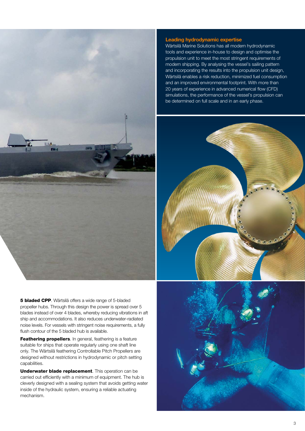

5 bladed CPP. Wärtsilä offers a wide range of 5-bladed propeller hubs. Through this design the power is spread over 5 blades instead of over 4 blades, whereby reducing vibrations in aft ship and accommodations. It also reduces underwater-radiated noise levels. For vessels with stringent noise requirements, a fully flush contour of the 5 bladed hub is available.

Feathering propellers. In general, feathering is a feature suitable for ships that operate regularly using one shaft line only. The Wärtsilä feathering Controllable Pitch Propellers are designed without restrictions in hydrodynamic or pitch setting capabilities.

Underwater blade replacement. This operation can be carried out efficiently with a minimum of equipment. The hub is cleverly designed with a sealing system that avoids getting water inside of the hydraulic system, ensuring a reliable actuating mechanism.

#### Leading hydrodynamic expertise

Wärtsilä Marine Solutions has all modern hydrodynamic tools and experience in-house to design and optimise the propulsion unit to meet the most stringent requirements of modern shipping. By analysing the vessel's sailing pattern and incorporating the results into the propulsion unit design, Wärtsilä enables a risk reduction, minimized fuel consumption and an improved environmental footprint. With more than 20 years of experience in advanced numerical flow (CFD) simulations, the performance of the vessel's propulsion can be determined on full scale and in an early phase.



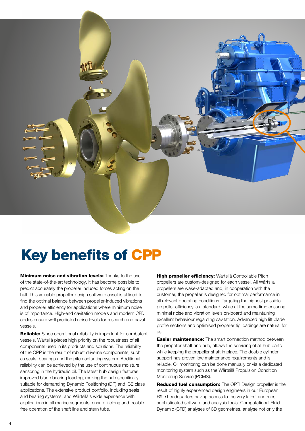

# Key benefits of CPP

**Minimum noise and vibration levels:** Thanks to the use of the state-of-the-art technology, it has become possible to predict accurately the propeller induced forces acting on the hull. This valuable propeller design software asset is utilised to find the optimal balance between propeller-induced vibrations and propeller efficiency for applications where minimum noise is of importance. High-end cavitation models and modern CFD codes ensure well predicted noise levels for research and naval vessels.

Reliable: Since operational reliability is important for combatant vessels, Wärtsilä places high priority on the robustness of all components used in its products and solutions. The reliability of the CPP is the result of robust driveline components, such as seals, bearings and the pitch actuating system. Additional reliability can be achieved by the use of continuous moisture sensoring in the hydraulic oil. The latest hub design features improved blade bearing loading, making the hub specifically suitable for demanding Dynamic Positioning (DP) and ICE class applications. The extensive product portfolio, including seals and bearing systems, and Wärtsilä's wide experience with applications in all marine segments, ensure lifelong and trouble free operation of the shaft line and stern tube.

High propeller efficiency: Wärtsilä Controllable Pitch propellers are custom-designed for each vessel. All Wärtsilä propellers are wake-adapted and, in cooperation with the customer, the propeller is designed for optimal performance in all relevant operating conditions. Targeting the highest possible propeller efficiency is a standard, while at the same time ensuring minimal noise and vibration levels on-board and maintaining excellent behaviour regarding cavitation. Advanced high lift blade profile sections and optimised propeller tip loadings are natural for us.

**Easier maintenance:** The smart connection method between the propeller shaft and hub, allows the servicing of all hub parts while keeping the propeller shaft in place. The double cylinder support has proven low maintenance requirements and is reliable. Oil monitoring can be done manually or via a dedicated monitoring system such as the Wärtsilä Propulsion Condition Monitoring Service (PCMS).

Reduced fuel consumption: The OPTI Design propeller is the result of highly experienced design engineers in our European R&D headquarters having access to the very latest and most sophisticated software and analysis tools. Computational Fluid Dynamic (CFD) analyses of 3D geometries, analyse not only the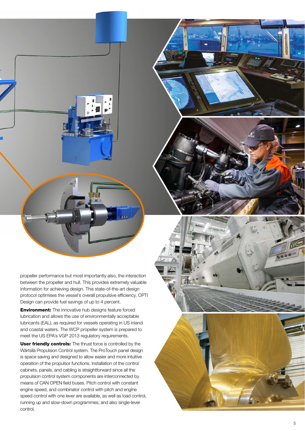propeller performance but most importantly also, the interaction between the propeller and hull. This provides extremely valuable information for achieving design. This state-of-the-art design protocol optimises the vessel's overall propulsive efficiency. OPTI Design can provide fuel savings of up to 4 percent.

**Environment:** The innovative hub designs feature forced lubrication and allows the use of environmentally acceptable lubricants (EAL), as required for vessels operating in US inland and coastal waters. The WCP propeller system is prepared to meet the US EPA's VGP 2013 regulatory requirements.

User friendly controls: The thrust force is controlled by the Wärtsilä Propulsion Control system. The ProTouch panel design is space saving and designed to allow easier and more intuitive operation of the propulsor functions. Installation of the control cabinets, panels, and cabling is straightforward since all the propulsion control system components are interconnected by means of CAN OPEN field buses. Pitch control with constant engine speed, and combinator control with pitch and engine speed control with one lever are available, as well as load control, running up and slow-down programmes, and also single-lever control.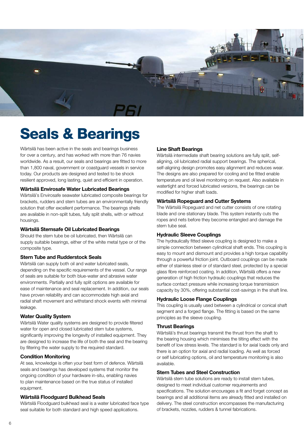

## Seals & Bearings

Wärtsilä has been active in the seals and bearings business for over a century, and has worked with more than 76 navies worldwide. As a result, our seals and bearings are fitted to more than 1,800 naval, government or coastguard vessels in service today. Our products are designed and tested to be shock resilient approved, long lasting, quiet and efficient in operation.

#### Wärtsilä Envirosafe Water Lubricated Bearings

Wärtsilä's Envirosafe seawater lubricated composite bearings for brackets, rudders and stern tubes are an environmentally friendly solution that offer excellent performance. The bearings shells are available in non-split tubes, fully split shells, with or without housings.

#### Wärtsilä Sternsafe Oil Lubricated Bearings

Should the stern tube be oil lubricated, then Wärtsilä can supply suitable bearings, either of the white metal type or of the composite type.

#### Stern Tube and Rudderstock Seals

Wärtsilä can supply both oil and water lubricated seals, depending on the specific requirements of the vessel. Our range of seals are suitable for both blue-water and abrasive water environments. Partially and fully split options are available for ease of maintenance and seal replacement. In addition, our seals have proven reliability and can accommodate high axial and radial shaft movement and withstand shock events with minimal leakage.

#### Water Quality System

Wärtsilä Water quality systems are designed to provide filtered water for open and closed lubricated stern tube systems, significantly improving the longevity of installed equipment. They are designed to increase the life of both the seal and the bearing by filtering the water supply to the required standard.

#### Condition Monitoring

At sea, knowledge is often your best form of defence. Wärtsilä seals and bearings has developed systems that monitor the ongoing condition of your hardware in-situ, enabling navies to plan maintenance based on the true status of installed equipment.

#### Wärtsilä Floodguard Bulkhead Seals

Wärtsilä Floodguard bulkhead seal is a water lubricated face type seal suitable for both standard and high speed applications.

#### Line Shaft Bearings

Wärtsilä intermediate shaft bearing solutions are fully split, selfaligning, oil lubricated radial support bearings. The spherical, self-aligning design promotes easy alignment and reduces wear. The designs are also prepared for cooling and be fitted enable temperature and oil level monitoring on request. Also available in watertight and forced lubricated versions, the bearings can be modified for higher shaft loads.

#### Wärtsilä Ropeguard and Cutter Systems

The Wärtsilä Ropeguard and net cutter consists of one rotating blade and one stationary blade. This system instantly cuts the ropes and nets before they become entangled and damage the stern tube seal.

#### Hydraulic Sleeve Couplings

The hydraulically fitted sleeve coupling is designed to make a simple connection between cylindrical shaft ends. This coupling is easy to mount and dismount and provides a high torque capability through a powerful friction joint. Outboard couplings can be made either of stainless steel or of standard steel, protected by a special glass fibre reinforced coating. In addition, Wärtsilä offers a new generation of high friction hydraulic couplings that reduces the surface contact pressure while increasing torque transmission capacity by 30%, offering substantial cost-savings in the shaft line.

#### Hydraulic Loose Flange Couplings

This coupling is usually used between a cylindrical or conical shaft segment and a forged flange. The fitting is based on the same principles as the sleeve coupling.

#### Thrust Bearings

Wärtsilä's thrust bearings transmit the thrust from the shaft to the bearing housing which minimises the tilting effect with the benefit of low stress levels. The standard is for axial loads only and there is an option for axial and radial loading. As well as forced or self lubricating options, oil and temperature monitoring is also available.

#### Stern Tubes and Steel Construction

Wärtsilä stern tube solutions are ready to install stern tubes, designed to meet individual customer requirements and specifications. The solution encourages a fit and forget concept as bearings and all additional items are already fitted and installed on delivery. The steel construction encompasses the manufacturing of brackets, nozzles, rudders & tunnel fabrications.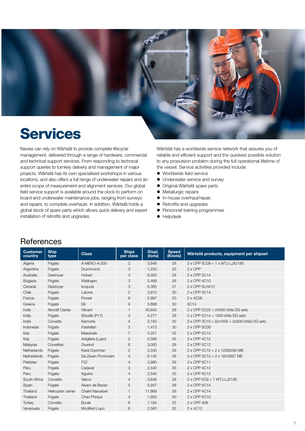

### Services

Navies can rely on Wärtsilä to provide complete lifecycle management, delivered through a range of hardware, commercial and technical support services. From responding to technical support queries to turnkey delivery and management of major projects. Wärtsilä has its own specialised workshops in various locations, and also offers a full range of underwater repairs and an entire scope of measurement and alignment services. Our global field service support is available around the clock to perform on board and underwater maintenance jobs, ranging from surveys and repairs, to complete overhauls. In addition, Wärtsilä holds a global stock of spare parts which allows quick delivery and expert installation of retrofits and upgrades.

Wärtsilä has a worldwide service network that assures you of reliable and efficient support and the quickest possible solution to any propulsion problem during the full operational lifetime of the vessel. Service activities provided include:

- Worldwide field service
- Underwater service and survey
- Original Wärtsilä spare parts
- Metallurgic repairs
- $\bullet$  In-house overhaul/repair.
- Retrofits and upgrades
- Personnel training programmes
- $\bullet$  Helpdesk

| References |  |
|------------|--|
|------------|--|

| <b>Customer</b><br>country | <b>Ship</b><br>type     | <b>Class</b>        | <b>Ships</b><br>per class | Displ.<br>(tons) | <b>Speed</b><br>(Knots) | Wärtsilä products, equipment per shipset           |
|----------------------------|-------------------------|---------------------|---------------------------|------------------|-------------------------|----------------------------------------------------|
| Algeria                    | Frigate                 | A-MEKO A-200        | 2                         | 3,648            | 28                      | 2 x CPP 5C09 + 1 x WTJ LJX2180                     |
| Argentina                  | Frigate                 | Drummond            | 3                         | 1,230            | 23                      | $2 \times CPP$                                     |
| Australia                  | Destrover               | Hobart              | 3                         | 6,350            | 28                      | 2 x CPP 5C14                                       |
| Bulgaria                   | Frigate                 | Wielingen           | 3                         | 2,469            | 26                      | 2 x CPP 4C10                                       |
| Canada                     | Destrover               | Iroquois            | 3                         | 5,385            | 27                      | 2 x CPP 5LH410                                     |
| Chile                      | Frigate                 | Latorre             | $\mathbf{2}$              | 3,810            | 30                      | 2 x CPP 5C14                                       |
| France                     | Frigate                 | Floreal             | 6                         | 2,997            | 20                      | 2 x 4C08                                           |
| Greece                     | Frigate                 | Elli                | 9                         | 3,688            | 30                      | 5C14                                               |
| India                      | <b>Aircraft Carrier</b> | Vikrant             | $\mathbf{1}$              | 40,642           | 28                      | 2 x CPP 5C20 + 24000 kWe DG sets                   |
| India                      | Frigate                 | Shivalik (P17)      | 3                         | 4,277            | 28                      | 2 x CPP 5C14 + 1000 kWe DG sets                    |
| India                      | Corvette                | Kamorta             | 4                         | 3,150            | 25                      | $2 \times$ CPP 5C10 + (2x1000 + 2x500 kWe) DG sets |
| Indonesia                  | Frigate                 | Fatahillah          | 3                         | 1,473            | 30                      | 2 x CPP 5C09                                       |
| Italy                      | Frigate                 | Maestrale           | 7                         | 3,251            | 32                      | 2 x CPP 5C13                                       |
| Italy                      | Frigate                 | Artigliere (Lupo)   | $\overline{c}$            | 2,566            | 35                      | 2 x CPP 4C12                                       |
| Malaysia                   | Corvettes               | Gowind              | 6                         | 3,000            | 28                      | 2 x CPP 5C12                                       |
| Netherlands                | Frigate                 | Karel Doorman       | $\overline{2}$            | 3,340            | 29                      | 2 x CPP 5C15 + 2 x 12SW280 ME                      |
| Netherlands                | Frigate                 | De Zeven Provincien | $\overline{4}$            | 6,145            | 28                      | 2 x CPP 5C15 + 2 x 16V26ST ME                      |
| Pakistan                   | Frigate                 | F <sub>22</sub>     | $\overline{4}$            | 2,980            | 29                      | 2 x CPP 5C11                                       |
| Peru                       | Frigate                 | Carjaval            | 3                         | 2.540            | 35                      | 2 x CPP 4C12                                       |
| Peru                       | Frigate                 | Aquirre             | $\overline{4}$            | 2,540            | 35                      | 2 x CPP 4C12                                       |
| South Africa               | Corvette                | Valour              | $\overline{4}$            | 3,648            | 28                      | 2 x CPP 5C9 + 1 WTJ LJ210E                         |
| Spain                      | Frigate                 | Alvaro de Bazan     | 5                         | 5,947            | 28                      | 2 x CPP 5C14                                       |
| Thailand                   | Helicopter carrier      | Chakri Naruebet     | $\mathbf{1}$              | 11,669           | 26                      | 2 x CPP 4C14                                       |
| Thailand                   | Frigate                 | Chao Phraya         | 4                         | 1,955            | 30                      | 2 x CPP 5C10                                       |
| Turkey                     | Corvette                | <b>Burak</b>        | 6                         | 1,194            | 23                      | 2 x CPP 408                                        |
| Venezuela                  | Frigate                 | Modified Lupo       | 6                         | 2,560            | 35                      | $2 \times 4C12$                                    |